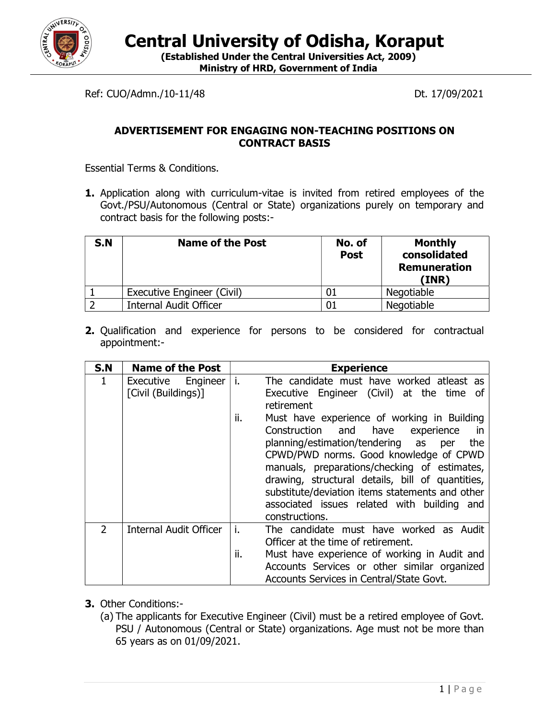

Central University of Odisha, Koraput

(Established Under the Central Universities Act, 2009) Ministry of HRD, Government of India

Ref: CUO/Admn./10-11/48 Dt. 17/09/2021

## ADVERTISEMENT FOR ENGAGING NON-TEACHING POSITIONS ON CONTRACT BASIS

Essential Terms & Conditions.

**1.** Application along with curriculum-vitae is invited from retired employees of the Govt./PSU/Autonomous (Central or State) organizations purely on temporary and contract basis for the following posts:-

| S.N | <b>Name of the Post</b>       | No. of<br><b>Post</b> | <b>Monthly</b><br>consolidated<br><b>Remuneration</b><br>(INR) |
|-----|-------------------------------|-----------------------|----------------------------------------------------------------|
|     | Executive Engineer (Civil)    |                       | Negotiable                                                     |
|     | <b>Internal Audit Officer</b> |                       | Negotiable                                                     |

2. Qualification and experience for persons to be considered for contractual appointment:-

| S.N           | <b>Name of the Post</b>                   | <b>Experience</b>                                                                                                                                                                                                                                                                                                                                                                                                             |
|---------------|-------------------------------------------|-------------------------------------------------------------------------------------------------------------------------------------------------------------------------------------------------------------------------------------------------------------------------------------------------------------------------------------------------------------------------------------------------------------------------------|
| 1             | Executive Engineer<br>[Civil (Buildings)] | i.<br>The candidate must have worked atleast as<br>Executive Engineer (Civil) at the time of<br>retirement                                                                                                                                                                                                                                                                                                                    |
|               |                                           | ii.<br>Must have experience of working in Building<br>Construction<br>and have<br>experience<br><i>in</i><br>planning/estimation/tendering as<br>the<br>per<br>CPWD/PWD norms. Good knowledge of CPWD<br>manuals, preparations/checking of estimates,<br>drawing, structural details, bill of quantities,<br>substitute/deviation items statements and other<br>associated issues related with building and<br>constructions. |
| $\mathcal{P}$ | Internal Audit Officer                    | i.<br>The candidate must have worked as Audit<br>Officer at the time of retirement.<br>ii.<br>Must have experience of working in Audit and<br>Accounts Services or other similar organized<br>Accounts Services in Central/State Govt.                                                                                                                                                                                        |

- 3. Other Conditions:-
	- (a) The applicants for Executive Engineer (Civil) must be a retired employee of Govt. PSU / Autonomous (Central or State) organizations. Age must not be more than 65 years as on 01/09/2021.